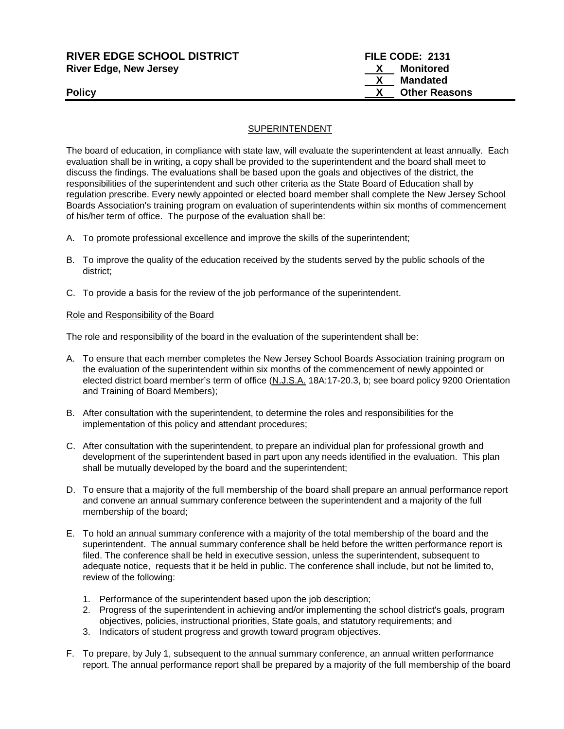# **RIVER EDGE SCHOOL DISTRICT FILE CODE: 2131 River Edge, New Jersey X Monitored X** Mandated<br>**X** Other Reas **Policy X** Other Reasons

## SUPERINTENDENT

The board of education, in compliance with state law, will evaluate the superintendent at least annually. Each evaluation shall be in writing, a copy shall be provided to the superintendent and the board shall meet to discuss the findings. The evaluations shall be based upon the goals and objectives of the district, the responsibilities of the superintendent and such other criteria as the State Board of Education shall by regulation prescribe. Every newly appointed or elected board member shall complete the New Jersey School Boards Association's training program on evaluation of superintendents within six months of commencement of his/her term of office. The purpose of the evaluation shall be:

- A. To promote professional excellence and improve the skills of the superintendent;
- B. To improve the quality of the education received by the students served by the public schools of the district;
- C. To provide a basis for the review of the job performance of the superintendent.

#### Role and Responsibility of the Board

The role and responsibility of the board in the evaluation of the superintendent shall be:

- A. To ensure that each member completes the New Jersey School Boards Association training program on the evaluation of the superintendent within six months of the commencement of newly appointed or elected district board member's term of office (N.J.S.A. 18A:17-20.3, b; see board policy 9200 Orientation and Training of Board Members);
- B. After consultation with the superintendent, to determine the roles and responsibilities for the implementation of this policy and attendant procedures;
- C. After consultation with the superintendent, to prepare an individual plan for professional growth and development of the superintendent based in part upon any needs identified in the evaluation. This plan shall be mutually developed by the board and the superintendent;
- D. To ensure that a majority of the full membership of the board shall prepare an annual performance report and convene an annual summary conference between the superintendent and a majority of the full membership of the board;
- E. To hold an annual summary conference with a majority of the total membership of the board and the superintendent. The annual summary conference shall be held before the written performance report is filed. The conference shall be held in executive session, unless the superintendent, subsequent to adequate notice, requests that it be held in public. The conference shall include, but not be limited to, review of the following:
	- 1. Performance of the superintendent based upon the job description;
	- 2. Progress of the superintendent in achieving and/or implementing the school district's goals, program objectives, policies, instructional priorities, State goals, and statutory requirements; and
	- 3. Indicators of student progress and growth toward program objectives.
- F. To prepare, by July 1, subsequent to the annual summary conference, an annual written performance report. The annual performance report shall be prepared by a majority of the full membership of the board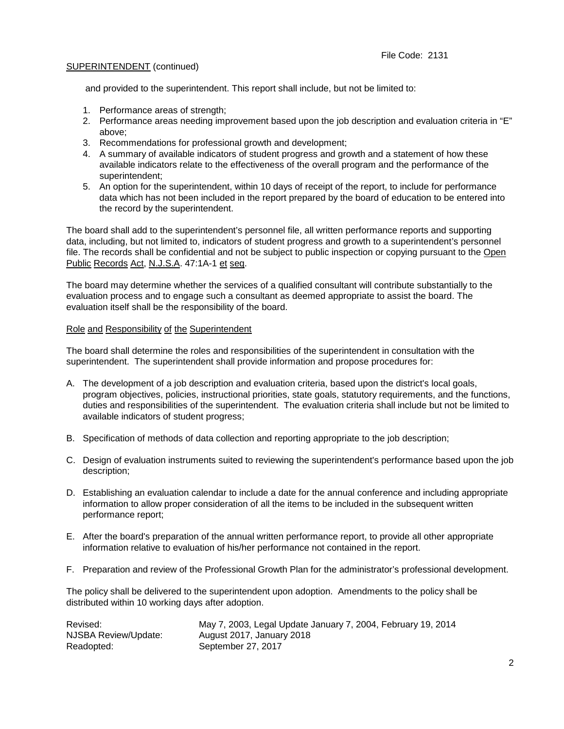#### SUPERINTENDENT (continued)

and provided to the superintendent. This report shall include, but not be limited to:

- 1. Performance areas of strength;
- 2. Performance areas needing improvement based upon the job description and evaluation criteria in "E" above;
- 3. Recommendations for professional growth and development;
- 4. A summary of available indicators of student progress and growth and a statement of how these available indicators relate to the effectiveness of the overall program and the performance of the superintendent;
- 5. An option for the superintendent, within 10 days of receipt of the report, to include for performance data which has not been included in the report prepared by the board of education to be entered into the record by the superintendent.

The board shall add to the superintendent's personnel file, all written performance reports and supporting data, including, but not limited to, indicators of student progress and growth to a superintendent's personnel file. The records shall be confidential and not be subject to public inspection or copying pursuant to the Open Public Records Act, N.J.S.A. 47:1A-1 et seq.

The board may determine whether the services of a qualified consultant will contribute substantially to the evaluation process and to engage such a consultant as deemed appropriate to assist the board. The evaluation itself shall be the responsibility of the board.

## Role and Responsibility of the Superintendent

The board shall determine the roles and responsibilities of the superintendent in consultation with the superintendent. The superintendent shall provide information and propose procedures for:

- A. The development of a job description and evaluation criteria, based upon the district's local goals, program objectives, policies, instructional priorities, state goals, statutory requirements, and the functions, duties and responsibilities of the superintendent. The evaluation criteria shall include but not be limited to available indicators of student progress;
- B. Specification of methods of data collection and reporting appropriate to the job description;
- C. Design of evaluation instruments suited to reviewing the superintendent's performance based upon the job description;
- D. Establishing an evaluation calendar to include a date for the annual conference and including appropriate information to allow proper consideration of all the items to be included in the subsequent written performance report;
- E. After the board's preparation of the annual written performance report, to provide all other appropriate information relative to evaluation of his/her performance not contained in the report.
- F. Preparation and review of the Professional Growth Plan for the administrator's professional development.

The policy shall be delivered to the superintendent upon adoption. Amendments to the policy shall be distributed within 10 working days after adoption.

| Revised:             | May 7, 2003, Legal Update January 7, 2004, February 19, 2014 |
|----------------------|--------------------------------------------------------------|
| NJSBA Review/Update: | August 2017, January 2018                                    |
| Readopted:           | September 27, 2017                                           |